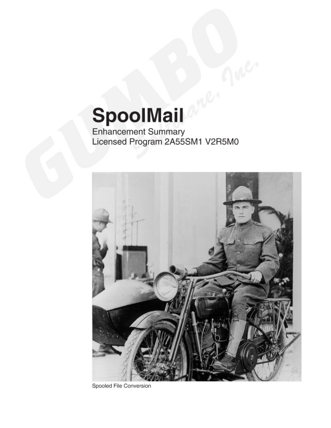# SpoolMail

Enhancement Summary<br>Licensed Program 2A55SM1 V2R5M0



Spooled File Conversion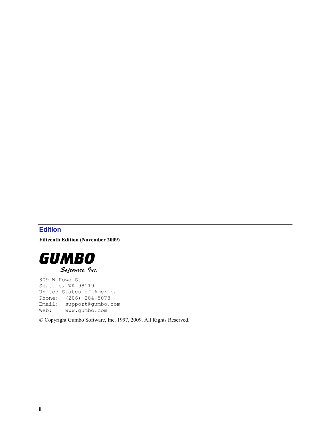# <span id="page-1-0"></span>**Edition**

**Fifteenth Edition (November 2009)** 



809 W Howe St Seattle, WA 98119 United States of America Phone: (206) 284-5078 Email: support@gumbo.com Web: www.gumbo.com

© Copyright Gumbo Software, Inc. 1997, 2009. All Rights Reserved.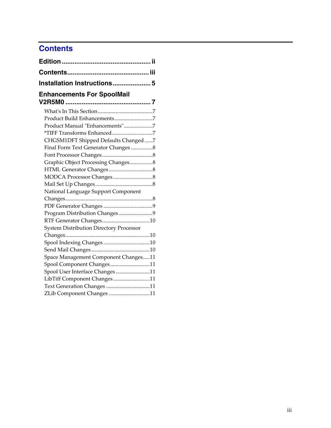# <span id="page-2-0"></span>**Contents**

| Installation Instructions 5                    |  |
|------------------------------------------------|--|
| <b>Enhancements For SpoolMail</b>              |  |
|                                                |  |
|                                                |  |
| Product Manual "Enhancements"7                 |  |
|                                                |  |
| CHGSM1DFT Shipped Defaults Changed7            |  |
| Final Form Text Generator Changes8             |  |
|                                                |  |
| Graphic Object Processing Changes8             |  |
|                                                |  |
|                                                |  |
|                                                |  |
| National Language Support Component            |  |
|                                                |  |
|                                                |  |
| Program Distribution Changes9                  |  |
|                                                |  |
| <b>System Distribution Directory Processor</b> |  |
|                                                |  |
|                                                |  |
|                                                |  |
| Space Management Component Changes11           |  |
| Spool Component Changes11                      |  |
| Spool User Interface Changes11                 |  |
| LibTiff Component Changes11                    |  |
| Text Generation Changes 11                     |  |
| ZLib Component Changes 11                      |  |
|                                                |  |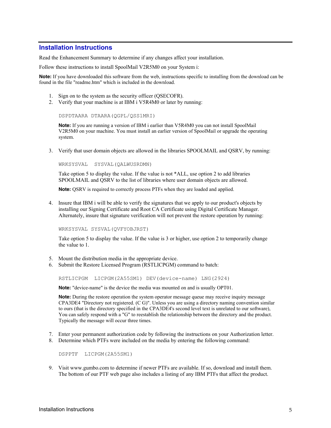# <span id="page-4-0"></span>**Installation Instructions**

Read the Enhancement Summary to determine if any changes affect your installation.

Follow these instructions to install SpoolMail V2R5M0 on your System i:

**Note:** If you have downloaded this software from the web, instructions specific to installing from the download can be found in the file "readme.htm" which is included in the download.

- 1. Sign on to the system as the security officer (QSECOFR).
- 2. Verify that your machine is at IBM i V5R4M0 or later by running:

DSPDTAARA DTAARA(QGPL/QSS1MRI)

**Note:** If you are running a version of IBM i earlier than V5R4M0 you can not install SpoolMail V2R5M0 on your machine. You must install an earlier version of SpoolMail or upgrade the operating system.

3. Verify that user domain objects are allowed in the libraries SPOOLMAIL and QSRV, by running:

WRKSYSVAL SYSVAL(QALWUSRDMN)

Take option 5 to display the value. If the value is not \*ALL, use option 2 to add libraries SPOOLMAIL and QSRV to the list of libraries where user domain objects are allowed.

**Note:** QSRV is required to correctly process PTFs when they are loaded and applied.

4. Insure that IBM i will be able to verify the signatures that we apply to our product's objects by installing our Signing Certificate and Root CA Certificate using Digital Certificate Manager. Alternately, insure that signature verification will not prevent the restore operation by running:

WRKSYSVAL SYSVAL(QVFYOBJRST)

Take option 5 to display the value. If the value is 3 or higher, use option 2 to temporarily change the value to 1.

- 5. Mount the distribution media in the appropriate device.
- 6. Submit the Restore Licensed Program (RSTLICPGM) command to batch:

RSTLICPGM LICPGM(2A55SM1) DEV(device-name) LNG(2924)

**Note:** "device-name" is the device the media was mounted on and is usually OPT01.

**Note:** During the restore operation the system operator message queue may receive inquiry message CPA3DE4 "Directory not registered. (C G)". Unless you are using a directory naming convention similar to ours (that is the directory specified in the CPA3DE4's second level text is unrelated to our software), You can safely respond with a "G" to reestablish the relationship between the directory and the product. Typically the message will occur three times.

- 7. Enter your permanent authorization code by following the instructions on your Authorization letter.
- 8. Determine which PTFs were included on the media by entering the following command:

DSPPTF LICPGM(2A55SM1)

9. Visit www.gumbo.com to determine if newer PTFs are available. If so, download and install them. The bottom of our PTF web page also includes a listing of any IBM PTFs that affect the product.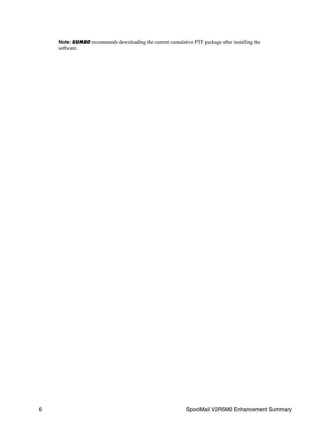**Note:** *GUMBO* recommends downloading the current cumulative PTF package after installing the software.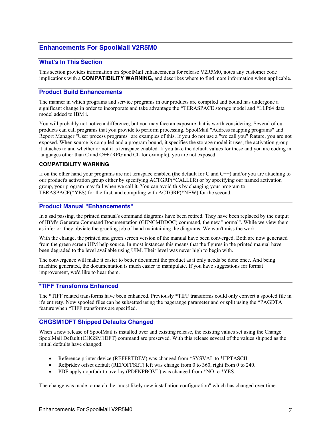# <span id="page-6-0"></span>**Enhancements For SpoolMail V2R5M0**

#### <span id="page-6-1"></span>**What's In This Section**

This section provides information on SpoolMail enhancements for release V2R5M0, notes any customer code implications with a **COMPATIBILITY WARNING**, and describes where to find more information when applicable.

#### <span id="page-6-2"></span>**Product Build Enhancements**

The manner in which programs and service programs in our products are compiled and bound has undergone a significant change in order to incorporate and take advantage the \*TERASPACE storage model and \*LLP64 data model added to IBM i.

You will probably not notice a difference, but you may face an exposure that is worth considering. Several of our products can call programs that you provide to perform processing. SpoolMail "Address mapping programs" and Report Manager "User process programs" are examples of this. If you do not use a "we call you" feature, you are not exposed. When source is compiled and a program bound, it specifies the storage model it uses, the activation group it attaches to and whether or not it is teraspace enabled. If you take the default values for these and you are coding in languages other than C and  $C++$  (RPG and CL for example), you are not exposed.

#### **COMPATIBILITY WARNING**

If on the other hand your programs are not teraspace enabled (the default for C and C++) and/or you are attaching to our product's activation group either by specifying ACTGRP(\*CALLER) or by specifying our named activation group, your program may fail when we call it. You can avoid this by changing your program to TERASPACE(\*YES) for the first, and compiling with ACTGRP(\*NEW) for the second.

#### <span id="page-6-3"></span>**Product Manual "Enhancements"**

In a sad passing, the printed manual's command diagrams have been retired. They have been replaced by the output of IBM's Generate Command Documentation (GENCMDDOC) command, the new "normal". While we view them as inferior, they obviate the grueling job of hand maintaining the diagrams. We won't miss the work.

With the change, the printed and green screen version of the manual have been converged. Both are now generated from the green screen UIM help source. In most instances this means that the figures in the printed manual have been degraded to the level available using UIM. Their level was never high to begin with.

The convergence will make it easier to better document the product as it only needs be done once. And being machine generated, the documentation is much easier to manipulate. If you have suggestions for format improvement, we'd like to hear them.

#### <span id="page-6-4"></span>**\*TIFF Transforms Enhanced**

The \*TIFF related transforms have been enhanced. Previously \*TIFF transforms could only convert a spooled file in it's entirety. Now spooled files can be subsetted using the pagerange parameter and or split using the \*PAGDTA feature when \*TIFF transforms are specified.

#### <span id="page-6-5"></span>**CHGSM1DFT Shipped Defaults Changed**

When a new release of SpoolMail is installed over and existing release, the existing values set using the Change SpoolMail Default (CHGSM1DFT) command are preserved. With this release several of the values shipped as the initial defaults have changed:

- Reference printer device (REFPRTDEV) was changed from \*SYSVAL to \*HPTASCII.
- Refprtdev offset default (REFOFFSET) left was change from 0 to 360, right from 0 to 240.
- PDF apply noprtbdr to overlay (PDFNPBOVL) was changed from \*NO to \*YES.

The change was made to match the "most likely new installation configuration" which has changed over time.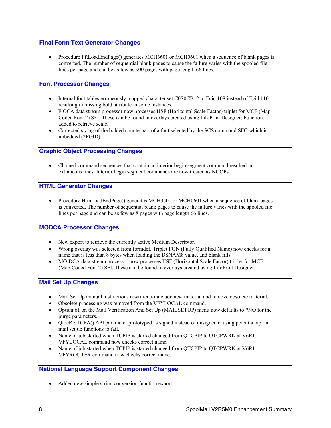# <span id="page-7-0"></span>**Final Form Text Generator Changes**

• Procedure FftLoadEndPage() generates MCH3601 or MCH0601 when a sequence of blank pages is converted. The number of sequential blank pages to cause the failure varies with the spooled file lines per page and can be as few as 900 pages with page length 66 lines.

# <span id="page-7-1"></span>**Font Processor Changes**

- Internal font tables erroneously mapped character set C0S0CB12 to Fgid 108 instead of Fgid 110 resulting in missing bold attribute in some instances.
- F:OCA data stream processor now processes HSF (Horizontal Scale Factor) triplet for MCF (Map Coded Font 2) SFI. These can be found in overlays created using InfoPrint Designer. Function added to retrieve scale.
- Corrected sizing of the bolded counterpart of a font selected by the SCS command SFG which is imbedded (\*FGID).

#### <span id="page-7-2"></span>**Graphic Object Processing Changes**

 Chained command sequences that contain an interior begin segment command resulted in extraneous lines. Interior begin segment commands are now treated as NOOPs.

#### <span id="page-7-3"></span>**HTML Generator Changes**

• Procedure HtmLoadEndPage() generates MCH3601 or MCH0601 when a sequence of blank pages is converted. The number of sequential blank pages to cause the failure varies with the spooled file lines per page and can be as few as 8 pages with page length 66 lines.

# <span id="page-7-4"></span>**MODCA Processor Changes**

- New export to retrieve the currently active Medium Descriptor.
- Wrong overlay was selected from formdef. Triplet FQN (Fully Qualified Name) now checks for a name that is less than 8 bytes when loading the DSNAM8 value, and blank fills.
- MO:DCA data stream processor now processes HSF (Horizontal Scale Factor) triplet for MCF (Map Coded Font 2) SFI. These can be found in overlays created using InfoPrint Designer.

# <span id="page-7-5"></span>**Mail Set Up Changes**

- Mail Set Up manual instructions rewritten to include new material and remove obsolete material.
- Obsolete processing was removed from the VFYLOCAL command.
- Option 61 on the Mail Verification And Set Up (MAILSETUP) menu now defaults to \*NO for the purge parameters.
- QtocRtvTCPA() API parameter prototyped as signed instead of unsigned causing potential api in mail set up functions to fail.
- Name of job started when TCPIP is started changed from QTCPIP to QTCPWRK at V6R1. VFYLOCAL command now checks correct name.
- Name of job started when TCPIP is started changed from QTCPIP to QTCPWRK at V6R1. VFYROUTER command now checks correct name.

#### <span id="page-7-6"></span>**National Language Support Component Changes**

Added new simple string conversion function export.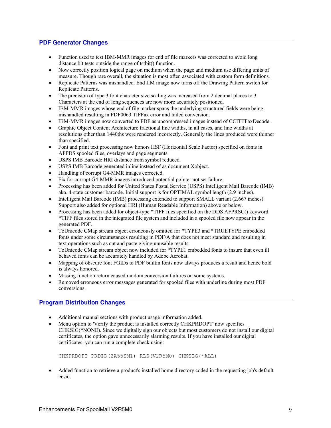#### <span id="page-8-0"></span>**PDF Generator Changes**

- Function used to test IBM-MMR images for end of file markers was corrected to avoid long distance bit tests outside the range of tstbit() function.
- Now correctly position logical page on medium when the page and medium use differing units of measure. Though rare overall, the situation is most often associated with custom form definitions.
- Replicate Patterns was mishandled. End IIM image now turns off the Drawing Pattern switch for Replicate Patterns.
- The precision of type 3 font character size scaling was increased from 2 decimal places to 3. Characters at the end of long sequences are now more accurately positioned.
- IBM-MMR images whose end of file marker spans the underlying structured fields were being mishandled resulting in PDF0063 TIFFax error and failed conversion.
- IBM-MMR images now converted to PDF as uncompressed images instead of CCITTFaxDecode.
- Graphic Object Content Architecture fractional line widths, in all cases, and line widths at resolutions other than 1440ths were rendered incorrectly. Generally the lines produced were thinner than specified.
- Font and print text processing now honors HSF (Horizontal Scale Factor) specified on fonts in AFPDS spooled files, overlays and page segments.
- USPS IMB Barcode HRI distance from symbol reduced.
- USPS IMB Barcode generated inline instead of as document Xobject.
- Handling of corrupt G4-MMR images corrected.
- Fix for corrupt G4-MMR images introduced potential pointer not set failure.
- Processing has been added for United States Postal Service (USPS) Intelligent Mail Barcode (IMB) aka. 4-state customer barcode. Initial support is for OPTIMAL symbol length (2.9 inches).
- Intelligent Mail Barcode (IMB) processing extended to support SMALL variant (2.667 inches). Support also added for optional HRI (Human Readable Information) above or below.
- Processing has been added for object-type \*TIFF files specified on the DDS AFPRSC() keyword. \*TIFF files stored in the integrated file system and included in a spooled file now appear in the generated PDF.
- ToUnicode CMap stream object erroneously omitted for \*TYPE3 and \*TRUETYPE embedded fonts under some circumstances resulting in PDF/A that does not meet standard and resulting in text operations such as cut and paste giving unusable results.
- ToUnicode CMap stream object now included for \*TYPE1 embedded fonts to insure that even ill behaved fonts can be accurately handled by Adobe Acrobat.
- Mapping of obscure font FGIDs to PDF builtin fonts now always produces a result and hence bold is always honored.
- Missing function return caused random conversion failures on some systems.
- Removed erroneous error messages generated for spooled files with underline during most PDF conversions.

#### <span id="page-8-1"></span>**Program Distribution Changes**

- Additional manual sections with product usage information added.
- Menu option to 'Verify the product is installed correctly CHKPRDOPT' now specifies CHKSIG(\*NONE). Since we digitally sign our objects but most customers do not install our digital certificates, the option gave unnecessarily alarming results. If you have installed our digital certificates, you can run a complete check using:

```
CHKPRDOPT PRDID(2A55SM1) RLS(V2R5M0) CHKSIG(*ALL)
```
• Added function to retrieve a product's installed home directory coded in the requesting job's default ccsid.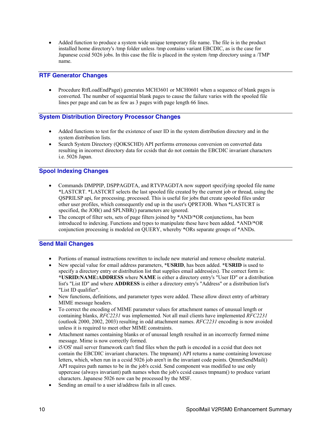Added function to produce a system wide unique temporary file name. The file is in the product installed home directory's /tmp folder unless /tmp contains variant EBCDIC, as is the case for Japanese ccsid 5026 jobs. In this case the file is placed in the system /tmp directory using a /TMP name.

#### <span id="page-9-0"></span>**RTF Generator Changes**

 Procedure RtfLoadEndPage() generates MCH3601 or MCH0601 when a sequence of blank pages is converted. The number of sequential blank pages to cause the failure varies with the spooled file lines per page and can be as few as 3 pages with page length 66 lines.

# <span id="page-9-1"></span>**System Distribution Directory Processor Changes**

- Added functions to test for the existence of user ID in the system distribution directory and in the system distribution lists.
- Search System Directory (OOKSCHD) API performs erroneous conversion on converted data resulting in incorrect directory data for ccsids that do not contain the EBCDIC invariant characters i.e. 5026 Japan.

#### <span id="page-9-2"></span>**Spool Indexing Changes**

- Commands DMPPIP, DSPPAGDTA, and RTVPAGDTA now support specifying spooled file name \*LASTCRT. \*LASTCRT selects the last spooled file created by the current job or thread, using the QSPRILSP api, for processing. processed. This is useful for jobs that create spooled files under other user profiles, which consequently end up in the user's QPRTJOB. When \*LASTCRT is specified, the JOB() and SPLNBR() parameters are ignored.
- The concept of filter sets, sets of page filters joined by \*AND/\*OR conjunctions, has been introduced to indexing. Functions and types to manipulate these have been added. \*AND/\*OR conjunction processing is modeled on QUERY, whereby \*ORs separate groups of \*ANDs.

#### <span id="page-9-3"></span>**Send Mail Changes**

- Portions of manual instructions rewritten to include new material and remove obsolete material.
- New special value for email address parameters, **\*USRID**, has been added. **\*USRID** is used to specify a directory entry or distribution list that supplies email address(es). The correct form is: **\*USRID:NAME:ADDRESS** where **NAME** is either a directory entry's "User ID" or a distribution list's "List ID" and where **ADDRESS** is either a directory entry's "Address" or a distribution list's "List ID qualifier".
- New functions, definitions, and parameter types were added. These allow direct entry of arbitrary MIME message headers.
- To correct the encoding of MIME parameter values for attachment names of unusual length or containing blanks, *RFC2231* was implemented. Not all mail clients have implemented *RFC2231* (outlook 2000, 2002, 2003) resulting in odd attachment names. *RFC2231* encoding is now avoided unless it is required to meet other MIME constraints.
- Attachment names containing blanks or of unusual length resulted in an incorrectly formed mime message. Mime is now correctly formed.
- i5/OS' mail server framework can't find files when the path is encoded in a ccsid that does not contain the EBCDIC invariant characters. The tmpnam() API returns a name containing lowercase letters, which, when run in a ccsid 5026 job aren't in the invariant code points. QtmmSendMail() API requires path names to be in the job's ccsid. Send component was modified to use only uppercase (always invariant) path names when the job's ccsid causes tmpnam() to produce variant characters. Japanese 5026 now can be processed by the MSF.
- Sending an email to a user id/address fails in all cases.